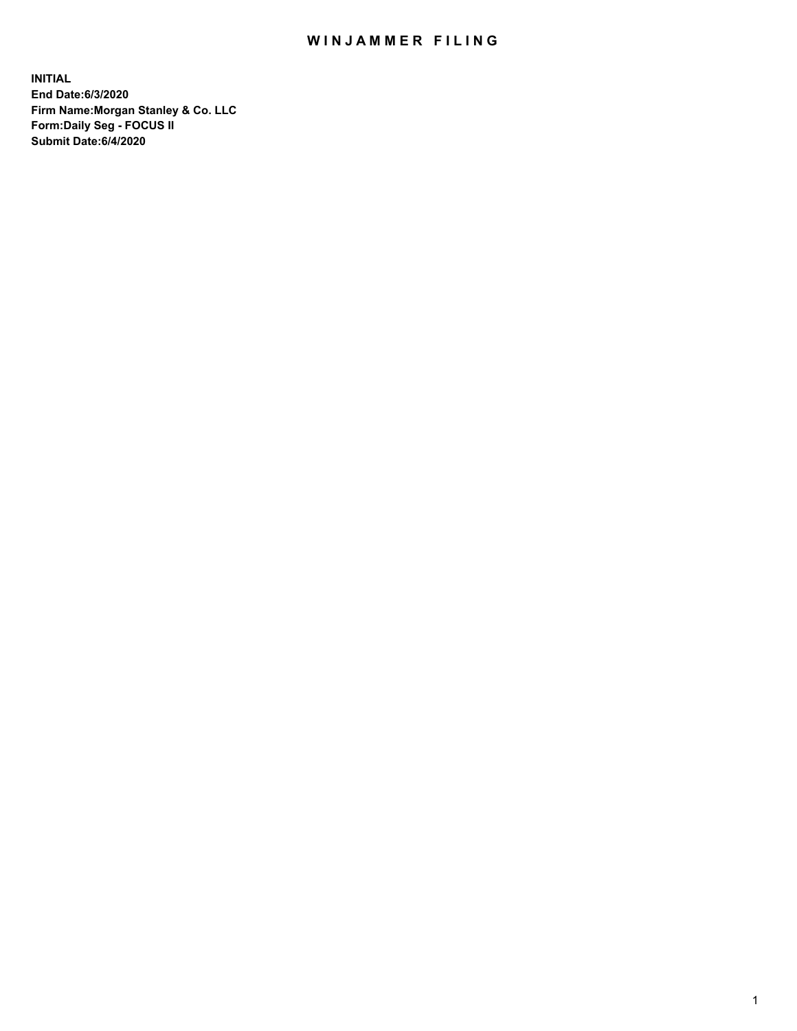## WIN JAMMER FILING

**INITIAL End Date:6/3/2020 Firm Name:Morgan Stanley & Co. LLC Form:Daily Seg - FOCUS II Submit Date:6/4/2020**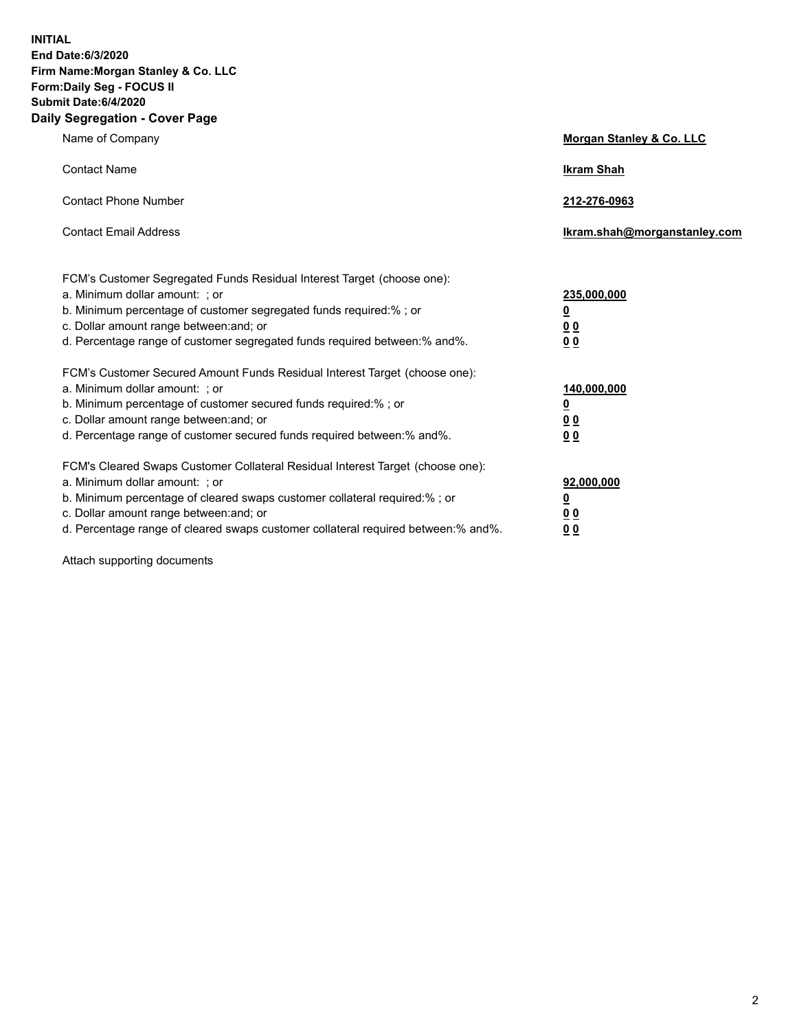**INITIAL End Date:6/3/2020 Firm Name:Morgan Stanley & Co. LLC Form:Daily Seg - FOCUS II Submit Date:6/4/2020 Daily Segregation - Cover Page**

| Name of Company                                                                                                                                                                                                                                                                                          | <b>Morgan Stanley &amp; Co. LLC</b>             |
|----------------------------------------------------------------------------------------------------------------------------------------------------------------------------------------------------------------------------------------------------------------------------------------------------------|-------------------------------------------------|
| <b>Contact Name</b>                                                                                                                                                                                                                                                                                      | <b>Ikram Shah</b>                               |
| <b>Contact Phone Number</b>                                                                                                                                                                                                                                                                              | 212-276-0963                                    |
| <b>Contact Email Address</b>                                                                                                                                                                                                                                                                             | Ikram.shah@morganstanley.com                    |
| FCM's Customer Segregated Funds Residual Interest Target (choose one):<br>a. Minimum dollar amount: ; or<br>b. Minimum percentage of customer segregated funds required:% ; or<br>c. Dollar amount range between: and; or<br>d. Percentage range of customer segregated funds required between: % and %. | 235,000,000<br><u>0</u><br>00<br>0 <sub>0</sub> |
| FCM's Customer Secured Amount Funds Residual Interest Target (choose one):<br>a. Minimum dollar amount: ; or<br>b. Minimum percentage of customer secured funds required:% ; or<br>c. Dollar amount range between: and; or                                                                               | 140,000,000<br><u>0</u><br>0 <sub>0</sub>       |
| d. Percentage range of customer secured funds required between:% and%.<br>FCM's Cleared Swaps Customer Collateral Residual Interest Target (choose one):                                                                                                                                                 | 0 <sub>0</sub>                                  |
| a. Minimum dollar amount: ; or<br>b. Minimum percentage of cleared swaps customer collateral required:% ; or<br>c. Dollar amount range between: and; or<br>d. Percentage range of cleared swaps customer collateral required between:% and%.                                                             | 92,000,000<br><u>0</u><br>0 Q<br>0 <sub>0</sub> |

Attach supporting documents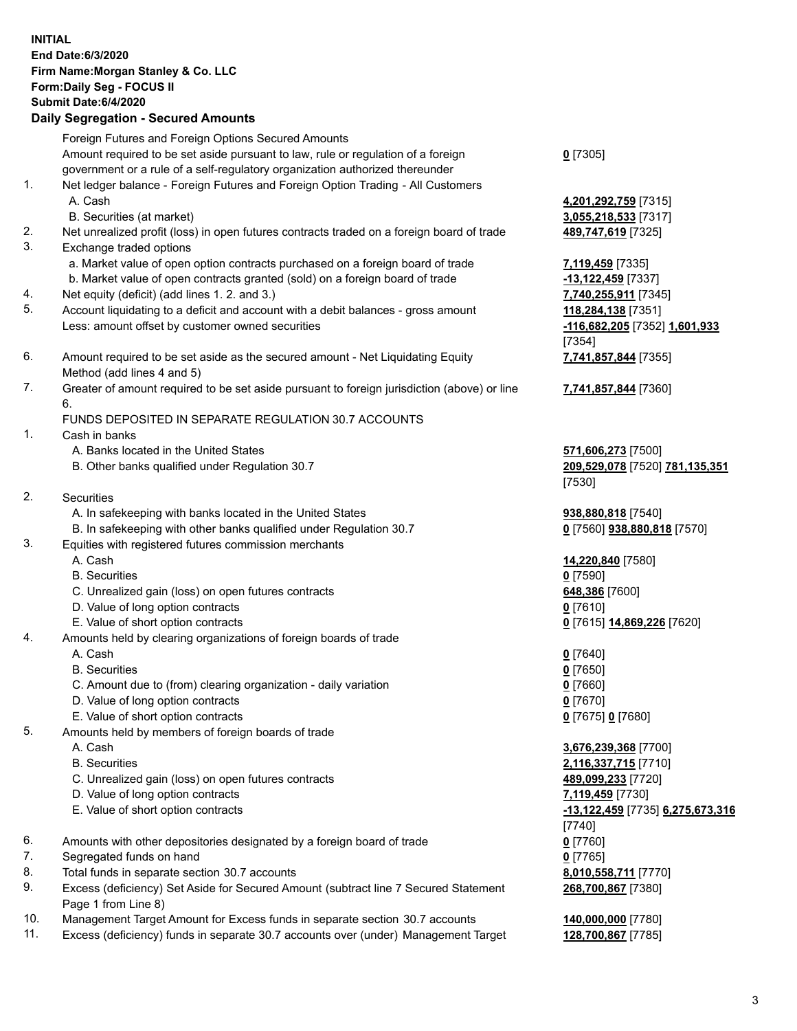| <b>INITIAL</b> | End Date: 6/3/2020<br>Firm Name: Morgan Stanley & Co. LLC<br>Form: Daily Seg - FOCUS II<br>Submit Date: 6/4/2020<br><b>Daily Segregation - Secured Amounts</b>                                                          |                                                                               |
|----------------|-------------------------------------------------------------------------------------------------------------------------------------------------------------------------------------------------------------------------|-------------------------------------------------------------------------------|
|                | Foreign Futures and Foreign Options Secured Amounts<br>Amount required to be set aside pursuant to law, rule or regulation of a foreign<br>government or a rule of a self-regulatory organization authorized thereunder | $0$ [7305]                                                                    |
| 1.             | Net ledger balance - Foreign Futures and Foreign Option Trading - All Customers<br>A. Cash<br>B. Securities (at market)                                                                                                 | 4,201,292,759 [7315]<br>3,055,218,533 [7317]                                  |
| 2.<br>3.       | Net unrealized profit (loss) in open futures contracts traded on a foreign board of trade<br>Exchange traded options                                                                                                    | 489,747,619 [7325]                                                            |
| 4.             | a. Market value of open option contracts purchased on a foreign board of trade<br>b. Market value of open contracts granted (sold) on a foreign board of trade<br>Net equity (deficit) (add lines 1. 2. and 3.)         | 7,119,459 [7335]<br>-13,122,459 [7337]<br>7,740,255,911 [7345]                |
| 5.             | Account liquidating to a deficit and account with a debit balances - gross amount<br>Less: amount offset by customer owned securities                                                                                   | 118,284,138 [7351]<br>-116,682,205 [7352] 1,601,933                           |
| 6.             | Amount required to be set aside as the secured amount - Net Liquidating Equity<br>Method (add lines 4 and 5)                                                                                                            | [7354]<br>7,741,857,844 [7355]                                                |
| 7.             | Greater of amount required to be set aside pursuant to foreign jurisdiction (above) or line<br>6.                                                                                                                       | 7,741,857,844 [7360]                                                          |
| 1.             | FUNDS DEPOSITED IN SEPARATE REGULATION 30.7 ACCOUNTS<br>Cash in banks<br>A. Banks located in the United States                                                                                                          |                                                                               |
|                | B. Other banks qualified under Regulation 30.7                                                                                                                                                                          | 571,606,273 [7500]<br>209,529,078 [7520] 781,135,351<br>[7530]                |
| 2.             | <b>Securities</b><br>A. In safekeeping with banks located in the United States                                                                                                                                          | 938,880,818 [7540]                                                            |
| 3.             | B. In safekeeping with other banks qualified under Regulation 30.7<br>Equities with registered futures commission merchants<br>A. Cash                                                                                  | 0 [7560] 938,880,818 [7570]<br>14,220,840 [7580]                              |
|                | <b>B.</b> Securities<br>C. Unrealized gain (loss) on open futures contracts                                                                                                                                             | $0$ [7590]<br>648,386 [7600]                                                  |
|                | D. Value of long option contracts<br>E. Value of short option contracts                                                                                                                                                 | $0$ [7610]<br>0 [7615] 14,869,226 [7620]                                      |
| 4.             | Amounts held by clearing organizations of foreign boards of trade<br>A. Cash<br><b>B.</b> Securities                                                                                                                    | $0$ [7640]<br>$0$ [7650]                                                      |
|                | C. Amount due to (from) clearing organization - daily variation<br>D. Value of long option contracts                                                                                                                    | $0$ [7660]<br>$0$ [7670]                                                      |
| 5.             | E. Value of short option contracts<br>Amounts held by members of foreign boards of trade<br>A. Cash                                                                                                                     | $0$ [7675] 0 [7680]<br>3,676,239,368 [7700]                                   |
|                | <b>B.</b> Securities<br>C. Unrealized gain (loss) on open futures contracts                                                                                                                                             | 2,116,337,715 [7710]<br>489,099,233 [7720]                                    |
|                | D. Value of long option contracts<br>E. Value of short option contracts                                                                                                                                                 | 7,119,459 [7730]<br><u>-13,122,459 [</u> 7735] <u>6,275,673,316</u><br>[7740] |
| 6.<br>7.       | Amounts with other depositories designated by a foreign board of trade<br>Segregated funds on hand                                                                                                                      | $0$ [7760]<br>$0$ [7765]                                                      |
| 8.<br>9.       | Total funds in separate section 30.7 accounts<br>Excess (deficiency) Set Aside for Secured Amount (subtract line 7 Secured Statement<br>Page 1 from Line 8)                                                             | 8,010,558,711 [7770]<br>268,700,867 [7380]                                    |
| 10.<br>11.     | Management Target Amount for Excess funds in separate section 30.7 accounts<br>Excess (deficiency) funds in separate 30.7 accounts over (under) Management Target                                                       | 140,000,000 [7780]<br>128,700,867 [7785]                                      |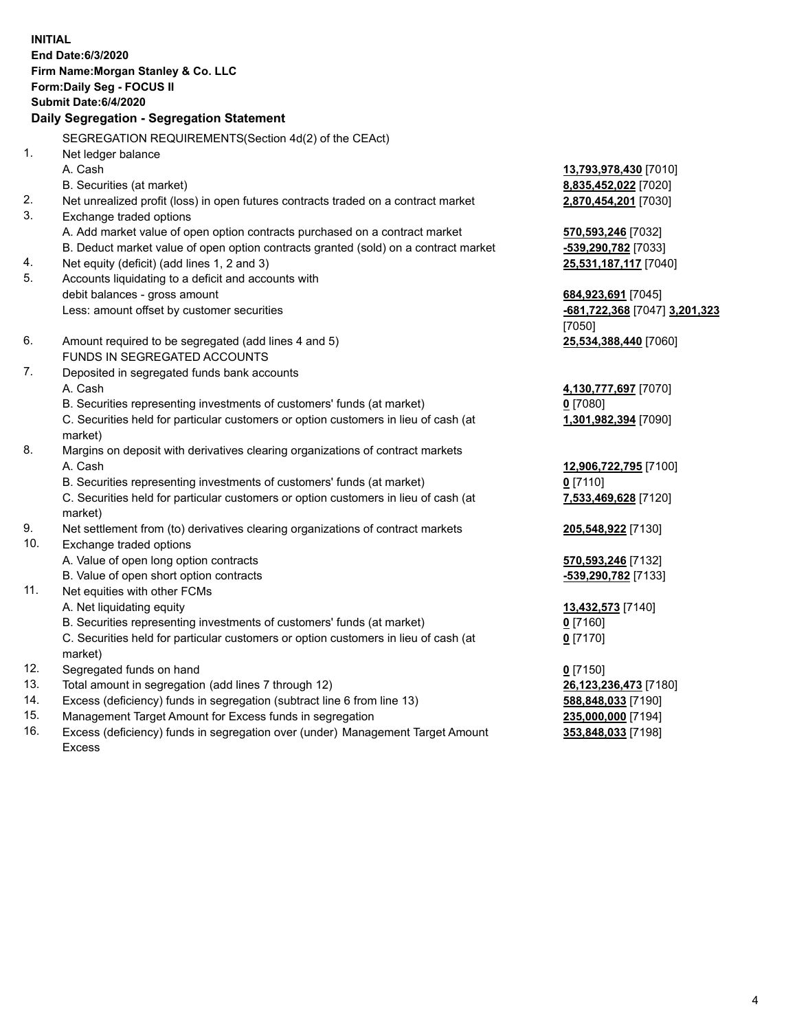|     | <b>INITIAL</b><br>End Date:6/3/2020<br>Firm Name: Morgan Stanley & Co. LLC<br>Form: Daily Seg - FOCUS II<br>Submit Date: 6/4/2020<br>Daily Segregation - Segregation Statement |                                    |
|-----|--------------------------------------------------------------------------------------------------------------------------------------------------------------------------------|------------------------------------|
|     | SEGREGATION REQUIREMENTS(Section 4d(2) of the CEAct)                                                                                                                           |                                    |
| 1.  | Net ledger balance                                                                                                                                                             |                                    |
|     | A. Cash                                                                                                                                                                        | 13,793,978,430 [7010]              |
|     | B. Securities (at market)                                                                                                                                                      | 8,835,452,022 [7020]               |
| 2.  | Net unrealized profit (loss) in open futures contracts traded on a contract market                                                                                             | 2,870,454,201 [7030]               |
| 3.  | Exchange traded options                                                                                                                                                        |                                    |
|     | A. Add market value of open option contracts purchased on a contract market                                                                                                    | 570,593,246 [7032]                 |
|     | B. Deduct market value of open option contracts granted (sold) on a contract market                                                                                            | -539,290,782 [7033]                |
| 4.  | Net equity (deficit) (add lines 1, 2 and 3)                                                                                                                                    | 25,531,187,117 [7040]              |
| 5.  | Accounts liquidating to a deficit and accounts with                                                                                                                            |                                    |
|     | debit balances - gross amount                                                                                                                                                  | 684,923,691 [7045]                 |
|     | Less: amount offset by customer securities                                                                                                                                     | -681,722,368 [7047] 3,201,323      |
|     |                                                                                                                                                                                | [7050]                             |
| 6.  | Amount required to be segregated (add lines 4 and 5)                                                                                                                           | 25,534,388,440 [7060]              |
|     | FUNDS IN SEGREGATED ACCOUNTS                                                                                                                                                   |                                    |
| 7.  | Deposited in segregated funds bank accounts                                                                                                                                    |                                    |
|     | A. Cash                                                                                                                                                                        | 4,130,777,697 [7070]               |
|     | B. Securities representing investments of customers' funds (at market)                                                                                                         | $0$ [7080]                         |
|     | C. Securities held for particular customers or option customers in lieu of cash (at                                                                                            | 1,301,982,394 [7090]               |
|     | market)                                                                                                                                                                        |                                    |
| 8.  | Margins on deposit with derivatives clearing organizations of contract markets                                                                                                 |                                    |
|     | A. Cash                                                                                                                                                                        | 12,906,722,795 [7100]              |
|     | B. Securities representing investments of customers' funds (at market)<br>C. Securities held for particular customers or option customers in lieu of cash (at                  | $0$ [7110]<br>7,533,469,628 [7120] |
|     | market)                                                                                                                                                                        |                                    |
| 9.  | Net settlement from (to) derivatives clearing organizations of contract markets                                                                                                | 205,548,922 [7130]                 |
| 10. | Exchange traded options                                                                                                                                                        |                                    |
|     | A. Value of open long option contracts                                                                                                                                         | 570, 593, 246 [7132]               |
|     | B. Value of open short option contracts                                                                                                                                        | -539,290,782 [7133]                |
| 11. | Net equities with other FCMs                                                                                                                                                   |                                    |
|     | A. Net liquidating equity                                                                                                                                                      | 13,432,573 [7140]                  |
|     | B. Securities representing investments of customers' funds (at market)                                                                                                         | $0$ [7160]                         |
|     | C. Securities held for particular customers or option customers in lieu of cash (at                                                                                            | $0$ [7170]                         |
|     | market)                                                                                                                                                                        |                                    |
| 12. | Segregated funds on hand                                                                                                                                                       | $0$ [7150]                         |
| 13. | Total amount in segregation (add lines 7 through 12)                                                                                                                           | 26,123,236,473 [7180]              |
| 14. | Excess (deficiency) funds in segregation (subtract line 6 from line 13)                                                                                                        | 588,848,033 [7190]                 |
| 15. | Management Target Amount for Excess funds in segregation                                                                                                                       | 235,000,000 [7194]                 |

16. Excess (deficiency) funds in segregation over (under) Management Target Amount Excess

**353,848,033** [7198]